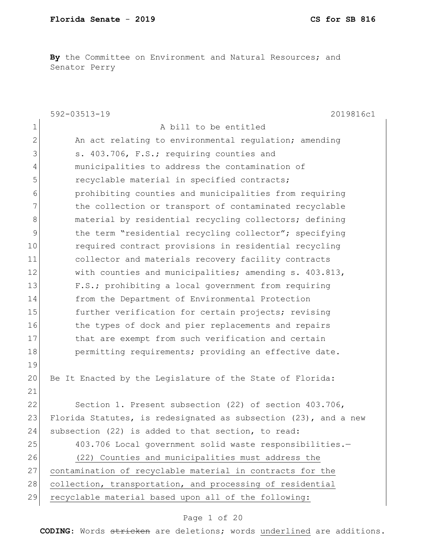**By** the Committee on Environment and Natural Resources; and Senator Perry

|                | 592-03513-19<br>2019816c1                                       |
|----------------|-----------------------------------------------------------------|
| $\mathbf 1$    | A bill to be entitled                                           |
| $\mathbf{2}$   | An act relating to environmental regulation; amending           |
| 3              | s. 403.706, F.S.; requiring counties and                        |
| $\overline{4}$ | municipalities to address the contamination of                  |
| 5              | recyclable material in specified contracts;                     |
| 6              | prohibiting counties and municipalities from requiring          |
| 7              | the collection or transport of contaminated recyclable          |
| $\,8\,$        | material by residential recycling collectors; defining          |
| 9              | the term "residential recycling collector"; specifying          |
| 10             | required contract provisions in residential recycling           |
| 11             | collector and materials recovery facility contracts             |
| 12             | with counties and municipalities; amending s. 403.813,          |
| 13             | F.S.; prohibiting a local government from requiring             |
| 14             | from the Department of Environmental Protection                 |
| 15             | further verification for certain projects; revising             |
| 16             | the types of dock and pier replacements and repairs             |
| 17             | that are exempt from such verification and certain              |
| 18             | permitting requirements; providing an effective date.           |
| 19             |                                                                 |
| 20             | Be It Enacted by the Legislature of the State of Florida:       |
| 21             |                                                                 |
| 22             | Section 1. Present subsection (22) of section 403.706,          |
| 23             | Florida Statutes, is redesignated as subsection (23), and a new |
| 24             | subsection (22) is added to that section, to read:              |
| 25             | 403.706 Local government solid waste responsibilities.-         |
| 26             | (22) Counties and municipalities must address the               |
| 27             | contamination of recyclable material in contracts for the       |
| 28             | collection, transportation, and processing of residential       |
| 29             | recyclable material based upon all of the following:            |

# Page 1 of 20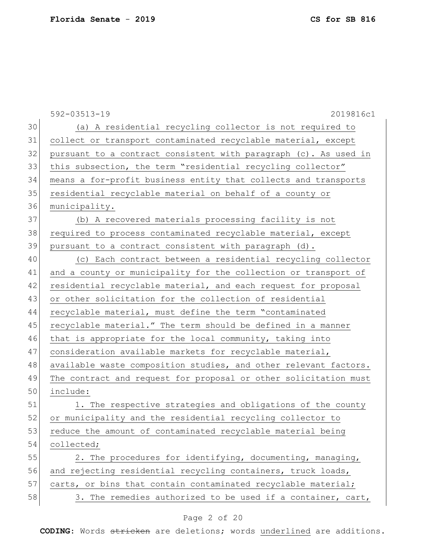592-03513-19 2019816c1 30 (a) A residential recycling collector is not required to 31 collect or transport contaminated recyclable material, except 32 pursuant to a contract consistent with paragraph (c). As used in 33 this subsection, the term "residential recycling collector" 34 means a for-profit business entity that collects and transports 35 residential recyclable material on behalf of a county or 36 municipality. 37 (b) A recovered materials processing facility is not 38 required to process contaminated recyclable material, except 39 pursuant to a contract consistent with paragraph (d). 40 (c) Each contract between a residential recycling collector 41 and a county or municipality for the collection or transport of 42 residential recyclable material, and each request for proposal 43 or other solicitation for the collection of residential 44 recyclable material, must define the term "contaminated 45 recyclable material." The term should be defined in a manner 46 that is appropriate for the local community, taking into 47 consideration available markets for recyclable material, 48 available waste composition studies, and other relevant factors. 49 The contract and request for proposal or other solicitation must 50 include: 51 1. The respective strategies and obligations of the county 52 or municipality and the residential recycling collector to 53 reduce the amount of contaminated recyclable material being 54 collected; 55 2. The procedures for identifying, documenting, managing, 56 and rejecting residential recycling containers, truck loads, 57 carts, or bins that contain contaminated recyclable material;  $58$  3. The remedies authorized to be used if a container, cart,

# Page 2 of 20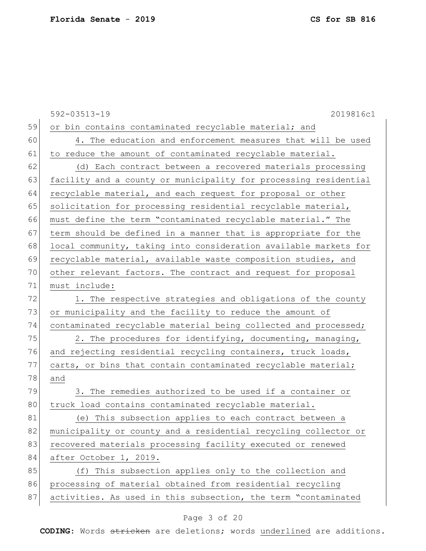592-03513-19 2019816c1 59 or bin contains contaminated recyclable material; and 60 4. The education and enforcement measures that will be used 61 to reduce the amount of contaminated recyclable material. 62 (d) Each contract between a recovered materials processing 63 facility and a county or municipality for processing residential 64 recyclable material, and each request for proposal or other 65 solicitation for processing residential recyclable material, 66 must define the term "contaminated recyclable material." The 67 term should be defined in a manner that is appropriate for the 68 local community, taking into consideration available markets for 69 recyclable material, available waste composition studies, and 70 other relevant factors. The contract and request for proposal 71 must include: 72 1. The respective strategies and obligations of the county 73 or municipality and the facility to reduce the amount of 74 contaminated recyclable material being collected and processed; 75 2. The procedures for identifying, documenting, managing, 76 and rejecting residential recycling containers, truck loads, 77 carts, or bins that contain contaminated recyclable material; 78 and 79 3. The remedies authorized to be used if a container or 80 truck load contains contaminated recyclable material. 81 (e) This subsection applies to each contract between a 82 municipality or county and a residential recycling collector or 83 recovered materials processing facility executed or renewed 84 after October 1, 2019. 85 (f) This subsection applies only to the collection and 86 processing of material obtained from residential recycling 87 activities. As used in this subsection, the term "contaminated

## Page 3 of 20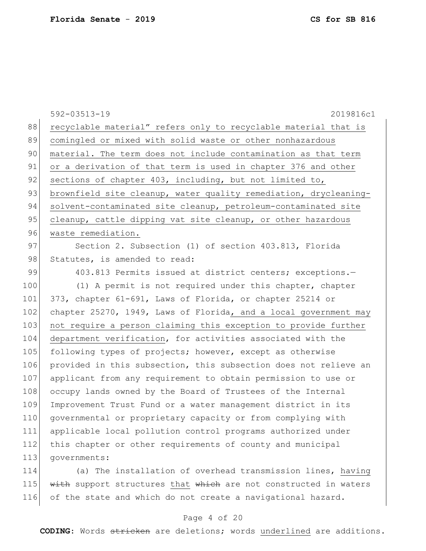592-03513-19 2019816c1 88 recyclable material" refers only to recyclable material that is 89 comingled or mixed with solid waste or other nonhazardous 90 material. The term does not include contamination as that term 91 or a derivation of that term is used in chapter 376 and other 92 sections of chapter 403, including, but not limited to, 93 brownfield site cleanup, water quality remediation, drycleaning-94 solvent-contaminated site cleanup, petroleum-contaminated site 95 cleanup, cattle dipping vat site cleanup, or other hazardous 96 waste remediation. 97 Section 2. Subsection (1) of section 403.813, Florida 98 Statutes, is amended to read: 99 403.813 Permits issued at district centers; exceptions.-100 (1) A permit is not required under this chapter, chapter 101 373, chapter 61-691, Laws of Florida, or chapter 25214 or 102 chapter 25270, 1949, Laws of Florida, and a local government may 103 not require a person claiming this exception to provide further 104 department verification, for activities associated with the 105 following types of projects; however, except as otherwise 106 provided in this subsection, this subsection does not relieve an 107 applicant from any requirement to obtain permission to use or 108 occupy lands owned by the Board of Trustees of the Internal 109 Improvement Trust Fund or a water management district in its 110 governmental or proprietary capacity or from complying with 111 applicable local pollution control programs authorized under 112 this chapter or other requirements of county and municipal 113 governments: 114 (a) The installation of overhead transmission lines, having

115 with support structures that which are not constructed in waters 116 of the state and which do not create a navigational hazard.

#### Page 4 of 20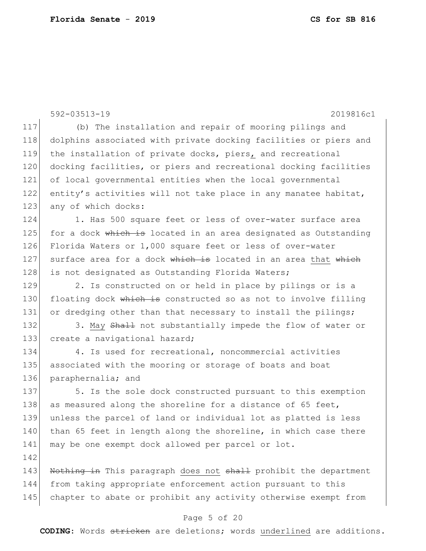|     | $592 - 03513 - 19$<br>2019816c1                                  |
|-----|------------------------------------------------------------------|
| 117 | (b) The installation and repair of mooring pilings and           |
| 118 | dolphins associated with private docking facilities or piers and |
| 119 | the installation of private docks, piers, and recreational       |
| 120 | docking facilities, or piers and recreational docking facilities |
| 121 | of local governmental entities when the local governmental       |
| 122 | entity's activities will not take place in any manatee habitat,  |
| 123 | any of which docks:                                              |
| 124 | 1. Has 500 square feet or less of over-water surface area        |
| 125 | for a dock which is located in an area designated as Outstanding |
| 126 | Florida Waters or 1,000 square feet or less of over-water        |
| 127 | surface area for a dock which is located in an area that which   |
| 128 | is not designated as Outstanding Florida Waters;                 |
| 129 | 2. Is constructed on or held in place by pilings or is a         |
| 130 | floating dock which is constructed so as not to involve filling  |
| 131 | or dredging other than that necessary to install the pilings;    |
| 132 | 3. May Shall not substantially impede the flow of water or       |
| 133 | create a navigational hazard;                                    |
| 134 | 4. Is used for recreational, noncommercial activities            |
| 135 | associated with the mooring or storage of boats and boat         |
| 136 | paraphernalia; and                                               |
| 137 | 5. Is the sole dock constructed pursuant to this exemption       |
| 138 | as measured along the shoreline for a distance of 65 feet,       |
| 139 | unless the parcel of land or individual lot as platted is less   |
| 140 | than 65 feet in length along the shoreline, in which case there  |
| 141 | may be one exempt dock allowed per parcel or lot.                |
| 142 |                                                                  |
| 143 | Nothing in This paragraph does not shall prohibit the department |
| 144 | from taking appropriate enforcement action pursuant to this      |
| 145 | chapter to abate or prohibit any activity otherwise exempt from  |
|     | Page 5 of 20                                                     |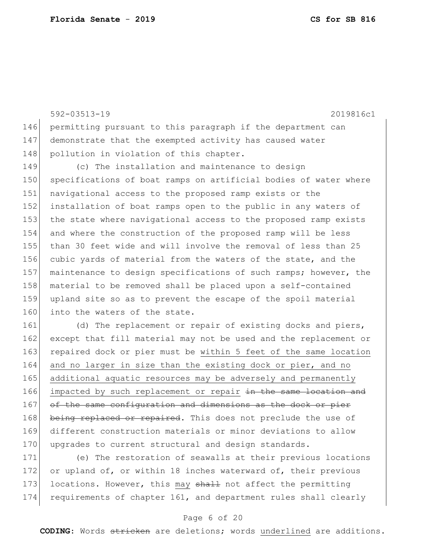592-03513-19 2019816c1 146 permitting pursuant to this paragraph if the department can 147 demonstrate that the exempted activity has caused water 148 pollution in violation of this chapter. 149 (c) The installation and maintenance to design 150 specifications of boat ramps on artificial bodies of water where 151 navigational access to the proposed ramp exists or the 152 installation of boat ramps open to the public in any waters of 153 the state where navigational access to the proposed ramp exists 154 and where the construction of the proposed ramp will be less 155 than 30 feet wide and will involve the removal of less than 25 156 cubic yards of material from the waters of the state, and the 157 maintenance to design specifications of such ramps; however, the 158 material to be removed shall be placed upon a self-contained 159 upland site so as to prevent the escape of the spoil material 160 into the waters of the state. 161 (d) The replacement or repair of existing docks and piers, 162 except that fill material may not be used and the replacement or 163 repaired dock or pier must be within 5 feet of the same location 164 and no larger in size than the existing dock or pier, and no 165 additional aquatic resources may be adversely and permanently 166 impacted by such replacement or repair in the same location and

167 of the same configuration and dimensions as the dock or pier 168 being replaced or repaired. This does not preclude the use of 169 different construction materials or minor deviations to allow 170 upgrades to current structural and design standards.

171 (e) The restoration of seawalls at their previous locations 172 or upland of, or within 18 inches waterward of, their previous 173 locations. However, this may shall not affect the permitting 174 requirements of chapter 161, and department rules shall clearly

# Page 6 of 20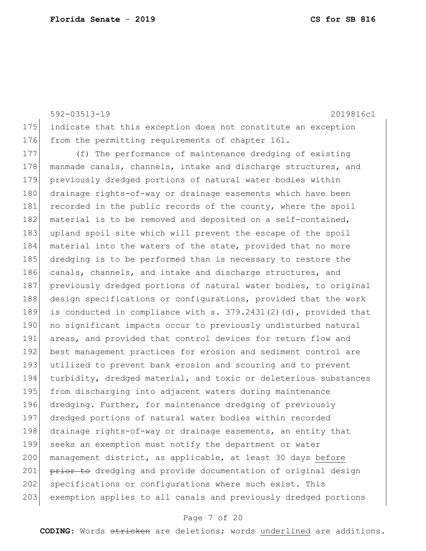592-03513-19 2019816c1 175 indicate that this exception does not constitute an exception 176 from the permitting requirements of chapter 161.

177 (f) The performance of maintenance dredging of existing 178 manmade canals, channels, intake and discharge structures, and 179 previously dredged portions of natural water bodies within 180 drainage rights-of-way or drainage easements which have been 181 recorded in the public records of the county, where the spoil 182 material is to be removed and deposited on a self-contained, 183 upland spoil site which will prevent the escape of the spoil 184 material into the waters of the state, provided that no more 185 dredging is to be performed than is necessary to restore the 186 canals, channels, and intake and discharge structures, and 187 previously dredged portions of natural water bodies, to original 188 design specifications or configurations, provided that the work 189 is conducted in compliance with s. 379.2431(2)(d), provided that 190 no significant impacts occur to previously undisturbed natural 191 areas, and provided that control devices for return flow and 192 best management practices for erosion and sediment control are 193 utilized to prevent bank erosion and scouring and to prevent 194 turbidity, dredged material, and toxic or deleterious substances 195 from discharging into adjacent waters during maintenance 196 dredging. Further, for maintenance dredging of previously 197 dredged portions of natural water bodies within recorded 198 drainage rights-of-way or drainage easements, an entity that 199 seeks an exemption must notify the department or water 200 management district, as applicable, at least 30 days before 201 prior to dredging and provide documentation of original design 202 specifications or configurations where such exist. This 203 exemption applies to all canals and previously dredged portions

#### Page 7 of 20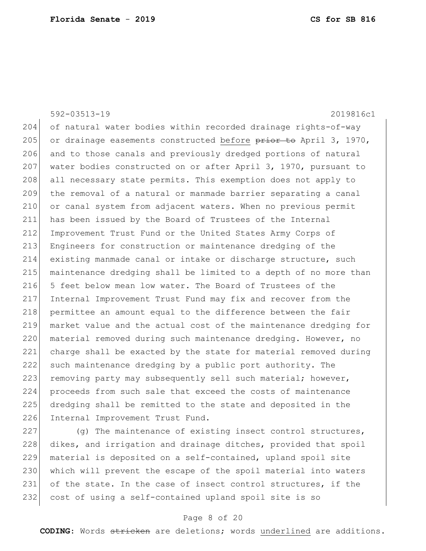|     | $592 - 03513 - 19$<br>2019816c1                                  |
|-----|------------------------------------------------------------------|
| 204 | of natural water bodies within recorded drainage rights-of-way   |
| 205 | or drainage easements constructed before prior to April 3, 1970, |
| 206 | and to those canals and previously dredged portions of natural   |
| 207 | water bodies constructed on or after April 3, 1970, pursuant to  |
| 208 | all necessary state permits. This exemption does not apply to    |
| 209 | the removal of a natural or manmade barrier separating a canal   |
| 210 | or canal system from adjacent waters. When no previous permit    |
| 211 | has been issued by the Board of Trustees of the Internal         |
| 212 | Improvement Trust Fund or the United States Army Corps of        |
| 213 | Engineers for construction or maintenance dredging of the        |
| 214 | existing manmade canal or intake or discharge structure, such    |
| 215 | maintenance dredging shall be limited to a depth of no more than |
| 216 | 5 feet below mean low water. The Board of Trustees of the        |
| 217 | Internal Improvement Trust Fund may fix and recover from the     |
| 218 | permittee an amount equal to the difference between the fair     |
| 219 | market value and the actual cost of the maintenance dredging for |
| 220 | material removed during such maintenance dredging. However, no   |
| 221 | charge shall be exacted by the state for material removed during |
| 222 | such maintenance dredging by a public port authority. The        |
| 223 | removing party may subsequently sell such material; however,     |
| 224 | proceeds from such sale that exceed the costs of maintenance     |
| 225 | dredging shall be remitted to the state and deposited in the     |
| 226 | Internal Improvement Trust Fund.                                 |
| つつワ | $(\alpha)$ The maintenance of existing incest central structures |

227 (g) The maintenance of existing insect control structures, 228 dikes, and irrigation and drainage ditches, provided that spoil 229 | material is deposited on a self-contained, upland spoil site 230 which will prevent the escape of the spoil material into waters 231 of the state. In the case of insect control structures, if the 232 cost of using a self-contained upland spoil site is so

## Page 8 of 20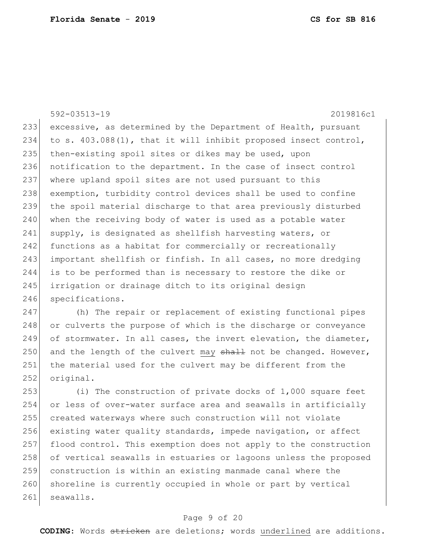592-03513-19 2019816c1 233 excessive, as determined by the Department of Health, pursuant 234 to s.  $403.088(1)$ , that it will inhibit proposed insect control, 235 then-existing spoil sites or dikes may be used, upon 236 notification to the department. In the case of insect control 237 where upland spoil sites are not used pursuant to this 238 exemption, turbidity control devices shall be used to confine 239 the spoil material discharge to that area previously disturbed 240 when the receiving body of water is used as a potable water 241 supply, is designated as shellfish harvesting waters, or 242 functions as a habitat for commercially or recreationally 243 important shellfish or finfish. In all cases, no more dredging 244 is to be performed than is necessary to restore the dike or 245 irrigation or drainage ditch to its original design 246 specifications.

247 (h) The repair or replacement of existing functional pipes 248 or culverts the purpose of which is the discharge or conveyance 249 of stormwater. In all cases, the invert elevation, the diameter, 250 and the length of the culvert may  $shall$  not be changed. However, 251 the material used for the culvert may be different from the 252 original.

 (i) The construction of private docks of 1,000 square feet or less of over-water surface area and seawalls in artificially created waterways where such construction will not violate existing water quality standards, impede navigation, or affect flood control. This exemption does not apply to the construction 258 of vertical seawalls in estuaries or lagoons unless the proposed construction is within an existing manmade canal where the 260 shoreline is currently occupied in whole or part by vertical 261 seawalls.

# Page 9 of 20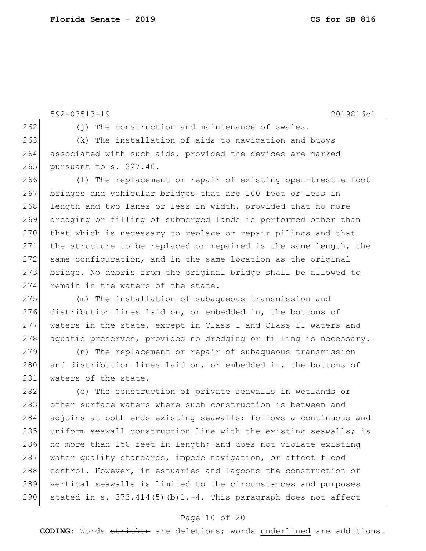592-03513-19 2019816c1 262 (j) The construction and maintenance of swales. 263 (k) The installation of aids to navigation and buoys 264 associated with such aids, provided the devices are marked 265 pursuant to s. 327.40. 266 (l) The replacement or repair of existing open-trestle foot 267 bridges and vehicular bridges that are 100 feet or less in 268 length and two lanes or less in width, provided that no more 269 dredging or filling of submerged lands is performed other than 270 that which is necessary to replace or repair pilings and that 271 the structure to be replaced or repaired is the same length, the 272 same configuration, and in the same location as the original 273 bridge. No debris from the original bridge shall be allowed to 274 remain in the waters of the state. 275 (m) The installation of subaqueous transmission and 276 distribution lines laid on, or embedded in, the bottoms of 277 waters in the state, except in Class I and Class II waters and 278 aquatic preserves, provided no dredging or filling is necessary. 279 (n) The replacement or repair of subaqueous transmission 280 and distribution lines laid on, or embedded in, the bottoms of 281 waters of the state. 282 (o) The construction of private seawalls in wetlands or 283 other surface waters where such construction is between and 284 adjoins at both ends existing seawalls; follows a continuous and 285 uniform seawall construction line with the existing seawalls; is 286 no more than 150 feet in length; and does not violate existing 287 water quality standards, impede navigation, or affect flood 288 control. However, in estuaries and lagoons the construction of 289 vertical seawalls is limited to the circumstances and purposes 290 stated in s. 373.414(5)(b)1.-4. This paragraph does not affect

## Page 10 of 20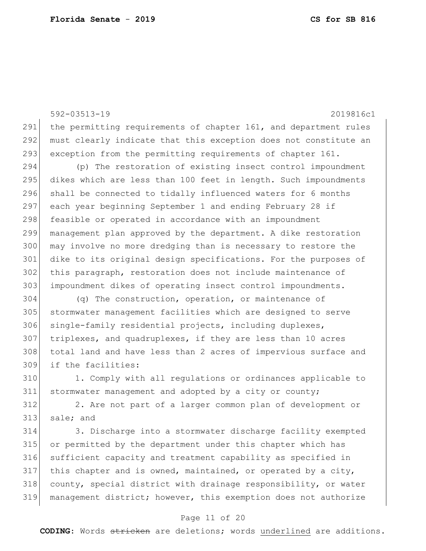592-03513-19 2019816c1 291 the permitting requirements of chapter 161, and department rules 292 must clearly indicate that this exception does not constitute an 293 exception from the permitting requirements of chapter 161. (p) The restoration of existing insect control impoundment dikes which are less than 100 feet in length. Such impoundments 296 shall be connected to tidally influenced waters for 6 months 297 each year beginning September 1 and ending February 28 if 298 feasible or operated in accordance with an impoundment management plan approved by the department. A dike restoration may involve no more dredging than is necessary to restore the dike to its original design specifications. For the purposes of this paragraph, restoration does not include maintenance of impoundment dikes of operating insect control impoundments. (q) The construction, operation, or maintenance of stormwater management facilities which are designed to serve 306 single-family residential projects, including duplexes, triplexes, and quadruplexes, if they are less than 10 acres total land and have less than 2 acres of impervious surface and if the facilities: 1. Comply with all regulations or ordinances applicable to stormwater management and adopted by a city or county; 2. Are not part of a larger common plan of development or 313 sale; and 3. Discharge into a stormwater discharge facility exempted or permitted by the department under this chapter which has sufficient capacity and treatment capability as specified in this chapter and is owned, maintained, or operated by a city, 318 county, special district with drainage responsibility, or water

#### Page 11 of 20

management district; however, this exemption does not authorize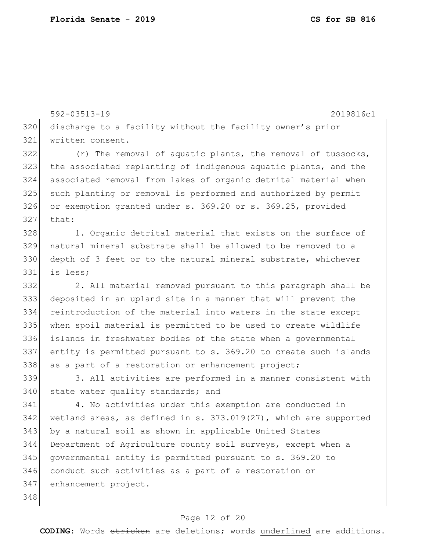592-03513-19 2019816c1 discharge to a facility without the facility owner's prior written consent. (r) The removal of aquatic plants, the removal of tussocks, the associated replanting of indigenous aquatic plants, and the associated removal from lakes of organic detrital material when such planting or removal is performed and authorized by permit 326 or exemption granted under s. 369.20 or s. 369.25, provided that: 328 1. Organic detrital material that exists on the surface of natural mineral substrate shall be allowed to be removed to a depth of 3 feet or to the natural mineral substrate, whichever is less; 2. All material removed pursuant to this paragraph shall be deposited in an upland site in a manner that will prevent the 334 reintroduction of the material into waters in the state except when spoil material is permitted to be used to create wildlife islands in freshwater bodies of the state when a governmental entity is permitted pursuant to s. 369.20 to create such islands 338 as a part of a restoration or enhancement project; 3. All activities are performed in a manner consistent with 340 state water quality standards; and 4. No activities under this exemption are conducted in wetland areas, as defined in s. 373.019(27), which are supported by a natural soil as shown in applicable United States Department of Agriculture county soil surveys, except when a governmental entity is permitted pursuant to s. 369.20 to conduct such activities as a part of a restoration or enhancement project. 

#### Page 12 of 20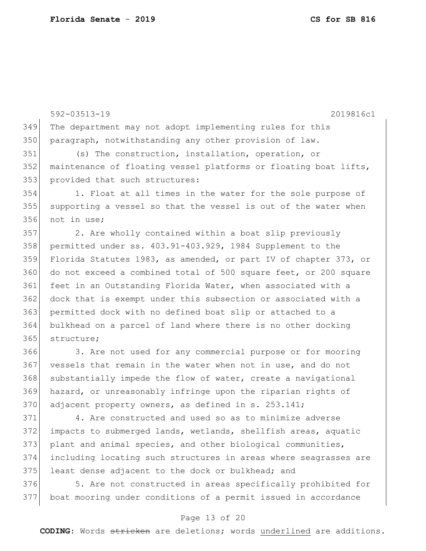592-03513-19 2019816c1 The department may not adopt implementing rules for this paragraph, notwithstanding any other provision of law. (s) The construction, installation, operation, or maintenance of floating vessel platforms or floating boat lifts, 353 provided that such structures: 1. Float at all times in the water for the sole purpose of 355 supporting a vessel so that the vessel is out of the water when not in use; 2. Are wholly contained within a boat slip previously permitted under ss. 403.91-403.929, 1984 Supplement to the Florida Statutes 1983, as amended, or part IV of chapter 373, or do not exceed a combined total of 500 square feet, or 200 square feet in an Outstanding Florida Water, when associated with a dock that is exempt under this subsection or associated with a permitted dock with no defined boat slip or attached to a bulkhead on a parcel of land where there is no other docking 365 structure;

 3. Are not used for any commercial purpose or for mooring vessels that remain in the water when not in use, and do not 368 substantially impede the flow of water, create a navigational hazard, or unreasonably infringe upon the riparian rights of 370 adjacent property owners, as defined in s. 253.141;

 4. Are constructed and used so as to minimize adverse impacts to submerged lands, wetlands, shellfish areas, aquatic plant and animal species, and other biological communities, including locating such structures in areas where seagrasses are 375 least dense adjacent to the dock or bulkhead; and

376 5. Are not constructed in areas specifically prohibited for boat mooring under conditions of a permit issued in accordance

### Page 13 of 20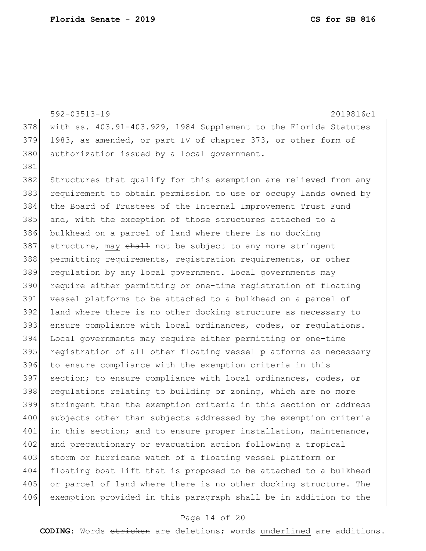381

592-03513-19 2019816c1 378 with ss. 403.91-403.929, 1984 Supplement to the Florida Statutes 379 1983, as amended, or part IV of chapter 373, or other form of 380 authorization issued by a local government. 382 Structures that qualify for this exemption are relieved from any 383 requirement to obtain permission to use or occupy lands owned by 384 the Board of Trustees of the Internal Improvement Trust Fund 385 and, with the exception of those structures attached to a 386 bulkhead on a parcel of land where there is no docking 387 structure, may shall not be subject to any more stringent 388 permitting requirements, registration requirements, or other 389 regulation by any local government. Local governments may 390 require either permitting or one-time registration of floating 391 vessel platforms to be attached to a bulkhead on a parcel of 392 land where there is no other docking structure as necessary to 393 ensure compliance with local ordinances, codes, or regulations. 394 Local governments may require either permitting or one-time 395 registration of all other floating vessel platforms as necessary 396 to ensure compliance with the exemption criteria in this

397 section; to ensure compliance with local ordinances, codes, or 398 regulations relating to building or zoning, which are no more 399 stringent than the exemption criteria in this section or address 400 subjects other than subjects addressed by the exemption criteria 401 in this section; and to ensure proper installation, maintenance, 402 and precautionary or evacuation action following a tropical 403 storm or hurricane watch of a floating vessel platform or 404 floating boat lift that is proposed to be attached to a bulkhead 405 or parcel of land where there is no other docking structure. The 406 exemption provided in this paragraph shall be in addition to the

#### Page 14 of 20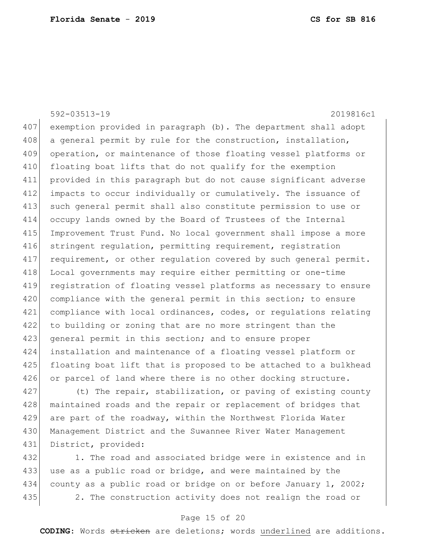592-03513-19 2019816c1 407 exemption provided in paragraph (b). The department shall adopt 408 a general permit by rule for the construction, installation, 409 operation, or maintenance of those floating vessel platforms or 410 floating boat lifts that do not qualify for the exemption 411 provided in this paragraph but do not cause significant adverse 412 impacts to occur individually or cumulatively. The issuance of 413 such general permit shall also constitute permission to use or 414 occupy lands owned by the Board of Trustees of the Internal 415 Improvement Trust Fund. No local government shall impose a more 416 stringent regulation, permitting requirement, registration 417 requirement, or other regulation covered by such general permit. 418 Local governments may require either permitting or one-time 419 registration of floating vessel platforms as necessary to ensure 420 compliance with the general permit in this section; to ensure 421 compliance with local ordinances, codes, or requlations relating 422 to building or zoning that are no more stringent than the 423 general permit in this section; and to ensure proper 424 installation and maintenance of a floating vessel platform or 425 floating boat lift that is proposed to be attached to a bulkhead 426 or parcel of land where there is no other docking structure. 427 (t) The repair, stabilization, or paving of existing county

428 | maintained roads and the repair or replacement of bridges that 429 are part of the roadway, within the Northwest Florida Water 430 Management District and the Suwannee River Water Management 431 District, provided:

432 1. The road and associated bridge were in existence and in 433 use as a public road or bridge, and were maintained by the 434 county as a public road or bridge on or before January 1, 2002; 435 2. The construction activity does not realign the road or

### Page 15 of 20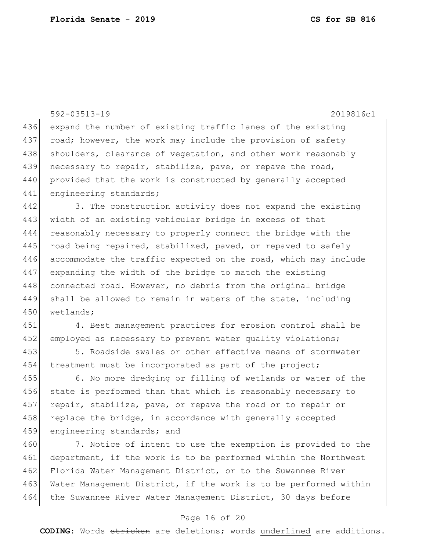|     | $592 - 03513 - 19$<br>2019816c1                                  |
|-----|------------------------------------------------------------------|
| 436 | expand the number of existing traffic lanes of the existing      |
| 437 | road; however, the work may include the provision of safety      |
| 438 | shoulders, clearance of vegetation, and other work reasonably    |
| 439 | necessary to repair, stabilize, pave, or repave the road,        |
| 440 | provided that the work is constructed by generally accepted      |
| 441 | engineering standards;                                           |
| 442 | 3. The construction activity does not expand the existing        |
| 443 | width of an existing vehicular bridge in excess of that          |
| 444 | reasonably necessary to properly connect the bridge with the     |
| 445 | road being repaired, stabilized, paved, or repaved to safely     |
| 446 | accommodate the traffic expected on the road, which may include  |
| 447 | expanding the width of the bridge to match the existing          |
| 448 | connected road. However, no debris from the original bridge      |
| 449 | shall be allowed to remain in waters of the state, including     |
| 450 | wetlands;                                                        |
| 451 | 4. Best management practices for erosion control shall be        |
| 452 | employed as necessary to prevent water quality violations;       |
| 453 | 5. Roadside swales or other effective means of stormwater        |
| 454 | treatment must be incorporated as part of the project;           |
| 455 | 6. No more dredging or filling of wetlands or water of the       |
| 456 | state is performed than that which is reasonably necessary to    |
| 457 | repair, stabilize, pave, or repave the road or to repair or      |
| 458 | replace the bridge, in accordance with generally accepted        |
| 459 | engineering standards; and                                       |
| 460 | 7. Notice of intent to use the exemption is provided to the      |
| 461 | department, if the work is to be performed within the Northwest  |
| 462 | Florida Water Management District, or to the Suwannee River      |
| 463 | Water Management District, if the work is to be performed within |

# Page 16 of 20

464 the Suwannee River Water Management District, 30 days before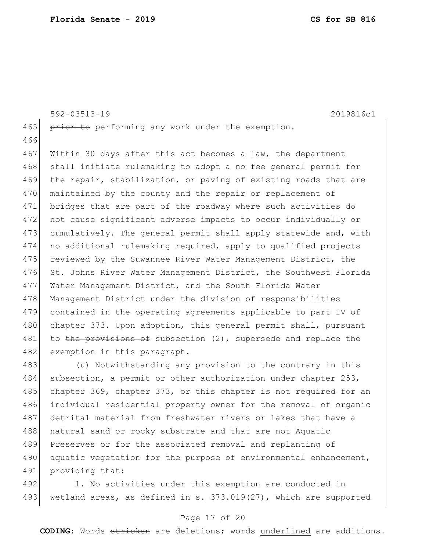592-03513-19 2019816c1 465 prior to performing any work under the exemption. 466 467 Within 30 days after this act becomes a law, the department 468 shall initiate rulemaking to adopt a no fee general permit for 469 the repair, stabilization, or paving of existing roads that are 470 maintained by the county and the repair or replacement of 471 bridges that are part of the roadway where such activities do 472 not cause significant adverse impacts to occur individually or 473 cumulatively. The general permit shall apply statewide and, with 474 no additional rulemaking required, apply to qualified projects 475 reviewed by the Suwannee River Water Management District, the 476 St. Johns River Water Management District, the Southwest Florida 477 Water Management District, and the South Florida Water 478 Management District under the division of responsibilities 479 contained in the operating agreements applicable to part IV of 480 chapter 373. Upon adoption, this general permit shall, pursuant 481 to the provisions of subsection (2), supersede and replace the 482 exemption in this paragraph. 483 (u) Notwithstanding any provision to the contrary in this 484 subsection, a permit or other authorization under chapter 253, 485 chapter 369, chapter 373, or this chapter is not required for an 486 individual residential property owner for the removal of organic 487 detrital material from freshwater rivers or lakes that have a 488 | natural sand or rocky substrate and that are not Aquatic

490 aquatic vegetation for the purpose of environmental enhancement, 491 providing that:

489 Preserves or for the associated removal and replanting of

492 1. No activities under this exemption are conducted in 493 wetland areas, as defined in s. 373.019(27), which are supported

#### Page 17 of 20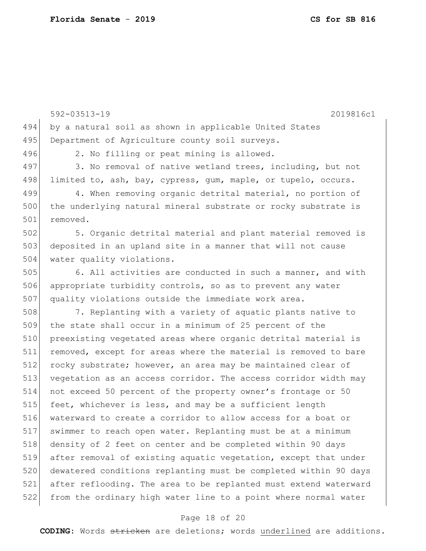|     | $592 - 03513 - 19$<br>2019816c1                                  |
|-----|------------------------------------------------------------------|
| 494 | by a natural soil as shown in applicable United States           |
| 495 | Department of Agriculture county soil surveys.                   |
| 496 | 2. No filling or peat mining is allowed.                         |
| 497 | 3. No removal of native wetland trees, including, but not        |
| 498 | limited to, ash, bay, cypress, gum, maple, or tupelo, occurs.    |
| 499 | 4. When removing organic detrital material, no portion of        |
| 500 | the underlying natural mineral substrate or rocky substrate is   |
| 501 | removed.                                                         |
| 502 | 5. Organic detrital material and plant material removed is       |
| 503 | deposited in an upland site in a manner that will not cause      |
| 504 | water quality violations.                                        |
| 505 | 6. All activities are conducted in such a manner, and with       |
| 506 | appropriate turbidity controls, so as to prevent any water       |
| 507 | quality violations outside the immediate work area.              |
| 508 | 7. Replanting with a variety of aquatic plants native to         |
| 509 | the state shall occur in a minimum of 25 percent of the          |
| 510 | preexisting vegetated areas where organic detrital material is   |
| 511 | removed, except for areas where the material is removed to bare  |
| 512 | rocky substrate; however, an area may be maintained clear of     |
| 513 | vegetation as an access corridor. The access corridor width may  |
| 514 | not exceed 50 percent of the property owner's frontage or 50     |
| 515 | feet, whichever is less, and may be a sufficient length          |
| 516 | waterward to create a corridor to allow access for a boat or     |
| 517 | swimmer to reach open water. Replanting must be at a minimum     |
| 518 | density of 2 feet on center and be completed within 90 days      |
| 519 | after removal of existing aquatic vegetation, except that under  |
| 520 | dewatered conditions replanting must be completed within 90 days |
| 521 | after reflooding. The area to be replanted must extend waterward |
| 522 | from the ordinary high water line to a point where normal water  |

# Page 18 of 20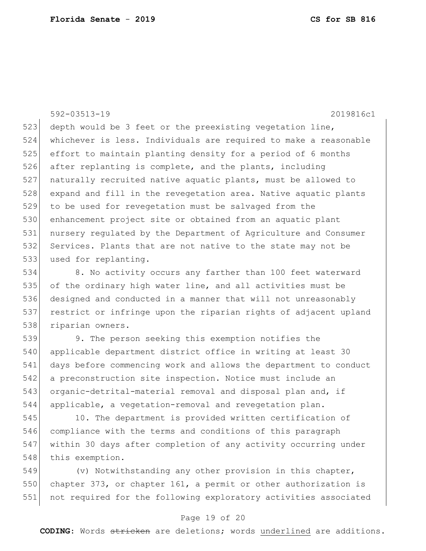592-03513-19 2019816c1 523 depth would be 3 feet or the preexisting vegetation line, 524 whichever is less. Individuals are required to make a reasonable 525 effort to maintain planting density for a period of 6 months 526 after replanting is complete, and the plants, including 527 naturally recruited native aquatic plants, must be allowed to 528 expand and fill in the revegetation area. Native aquatic plants 529 to be used for revegetation must be salvaged from the 530 enhancement project site or obtained from an aquatic plant 531 nursery regulated by the Department of Agriculture and Consumer 532 Services. Plants that are not native to the state may not be 533 used for replanting.

534 8. No activity occurs any farther than 100 feet waterward 535 of the ordinary high water line, and all activities must be 536 designed and conducted in a manner that will not unreasonably 537 restrict or infringe upon the riparian rights of adjacent upland 538 riparian owners.

 9. The person seeking this exemption notifies the 540 | applicable department district office in writing at least 30 days before commencing work and allows the department to conduct 542 a preconstruction site inspection. Notice must include an organic-detrital-material removal and disposal plan and, if applicable, a vegetation-removal and revegetation plan.

 10. The department is provided written certification of compliance with the terms and conditions of this paragraph within 30 days after completion of any activity occurring under 548 this exemption.

549  $(v)$  Notwithstanding any other provision in this chapter, 550 chapter 373, or chapter 161, a permit or other authorization is 551 not required for the following exploratory activities associated

#### Page 19 of 20